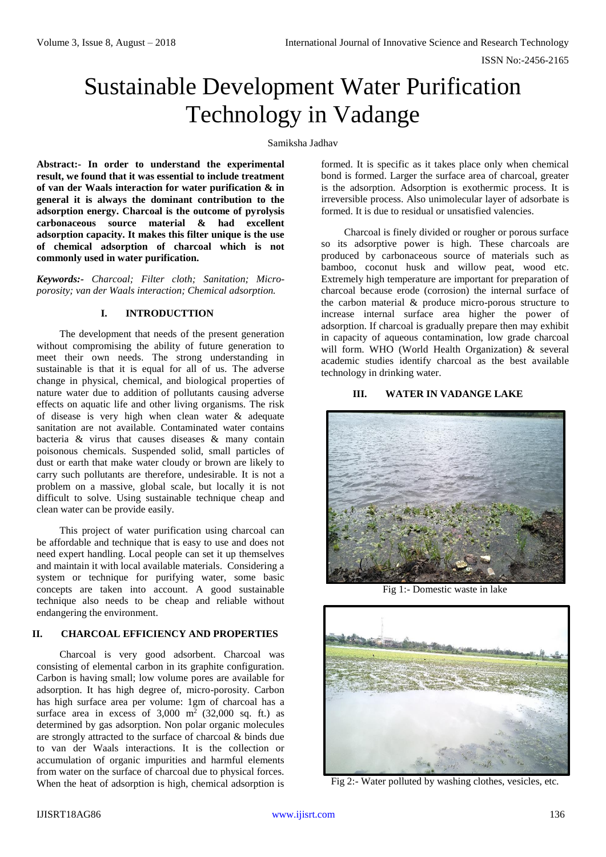ISSN No:-2456-2165

# Sustainable Development Water Purification Technology in Vadange

## Samiksha Jadhav

**Abstract:- In order to understand the experimental result, we found that it was essential to include treatment of van der Waals interaction for water purification & in general it is always the dominant contribution to the adsorption energy. Charcoal is the outcome of pyrolysis carbonaceous source material & had excellent adsorption capacity. It makes this filter unique is the use of chemical adsorption of charcoal which is not commonly used in water purification.**

*Keywords:- Charcoal; Filter cloth; Sanitation; Microporosity; van der Waals interaction; Chemical adsorption.* 

## **I. INTRODUCTTION**

The development that needs of the present generation without compromising the ability of future generation to meet their own needs. The strong understanding in sustainable is that it is equal for all of us. The adverse change in physical, chemical, and biological properties of nature water due to addition of pollutants causing adverse effects on aquatic life and other living organisms. The risk of disease is very high when clean water & adequate sanitation are not available. Contaminated water contains bacteria & virus that causes diseases & many contain poisonous chemicals. Suspended solid, small particles of dust or earth that make water cloudy or brown are likely to carry such pollutants are therefore, undesirable. It is not a problem on a massive, global scale, but locally it is not difficult to solve. Using sustainable technique cheap and clean water can be provide easily.

This project of water purification using charcoal can be affordable and technique that is easy to use and does not need expert handling. Local people can set it up themselves and maintain it with local available materials. Considering a system or technique for purifying water, some basic concepts are taken into account. A good sustainable technique also needs to be cheap and reliable without endangering the environment.

## **II. CHARCOAL EFFICIENCY AND PROPERTIES**

Charcoal is very good adsorbent. Charcoal was consisting of elemental carbon in its graphite configuration. Carbon is having small; low volume pores are available for adsorption. It has high degree of, micro-porosity. Carbon has high surface area per volume: 1gm of charcoal has a surface area in excess of  $3,000 \text{ m}^2$  (32,000 sq. ft.) as determined by gas adsorption. Non polar organic molecules are strongly attracted to the surface of charcoal & binds due to van der Waals interactions. It is the collection or accumulation of organic impurities and harmful elements from water on the surface of charcoal due to physical forces. When the heat of adsorption is high, chemical adsorption is

formed. It is specific as it takes place only when chemical bond is formed. Larger the surface area of charcoal, greater is the adsorption. Adsorption is exothermic process. It is irreversible process. Also unimolecular layer of adsorbate is formed. It is due to residual or unsatisfied valencies.

Charcoal is finely divided or rougher or porous surface so its adsorptive power is high. These charcoals are produced by carbonaceous source of materials such as bamboo, coconut husk and willow peat, wood etc. Extremely high temperature are important for preparation of charcoal because erode (corrosion) the internal surface of the carbon material & produce micro-porous structure to increase internal surface area higher the power of adsorption. If charcoal is gradually prepare then may exhibit in capacity of aqueous contamination, low grade charcoal will form. WHO (World Health Organization) & several academic studies identify charcoal as the best available technology in drinking water.

# **III. WATER IN VADANGE LAKE**



Fig 1:- Domestic waste in lake



Fig 2:- Water polluted by washing clothes, vesicles, etc.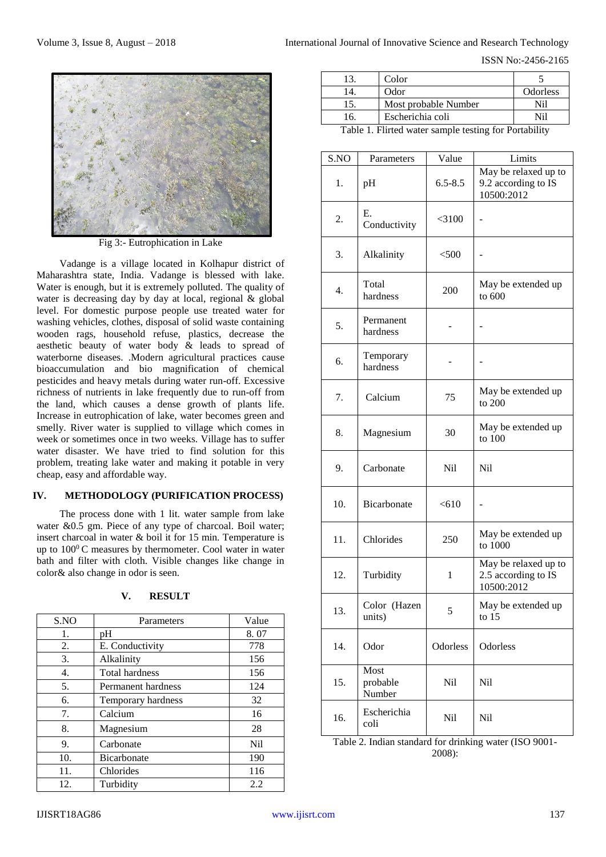ISSN No:-2456-2165



Fig 3:- Eutrophication in Lake

Vadange is a village located in Kolhapur district of Maharashtra state, India. Vadange is blessed with lake. Water is enough, but it is extremely polluted. The quality of water is decreasing day by day at local, regional & global level. For domestic purpose people use treated water for washing vehicles, clothes, disposal of solid waste containing wooden rags, household refuse, plastics, decrease the aesthetic beauty of water body & leads to spread of waterborne diseases. .Modern agricultural practices cause bioaccumulation and bio magnification of chemical pesticides and heavy metals during water run-off. Excessive richness of nutrients in lake frequently due to run-off from the land, which causes a dense growth of plants life. Increase in eutrophication of lake, water becomes green and smelly. River water is supplied to village which comes in week or sometimes once in two weeks. Village has to suffer water disaster. We have tried to find solution for this problem, treating lake water and making it potable in very cheap, easy and affordable way.

## **IV. METHODOLOGY (PURIFICATION PROCESS)**

The process done with 1 lit. water sample from lake water &0.5 gm. Piece of any type of charcoal. Boil water; insert charcoal in water & boil it for 15 min. Temperature is up to  $100^0$ C measures by thermometer. Cool water in water bath and filter with cloth. Visible changes like change in color& also change in odor is seen.

| S.NO | Parameters            | Value |
|------|-----------------------|-------|
| 1.   | pΗ                    | 8.07  |
| 2.   | E. Conductivity       | 778   |
| 3.   | Alkalinity            | 156   |
| 4.   | <b>Total hardness</b> | 156   |
| 5.   | Permanent hardness    | 124   |
| 6.   | Temporary hardness    | 32    |
| 7.   | Calcium               | 16    |
| 8.   | Magnesium             | 28    |
| 9.   | Carbonate             | Ni1   |
| 10.  | <b>Bicarbonate</b>    | 190   |
| 11.  | Chlorides             | 116   |
| 12.  | Turbidity             | 2.2   |

| v | <b>RESULT</b> |
|---|---------------|
|   |               |

|                      | Color                |          |  |
|----------------------|----------------------|----------|--|
|                      | Odor                 | Odorless |  |
|                      | Most probable Number | Ni1      |  |
| 16.                  | Escherichia coli     | Ni1      |  |
| $T1.1.1.1$ $T11.1.1$ |                      |          |  |

Table 1. Flirted water sample testing for Portability

| S.NO | Parameters                 | Value        | Limits                                                    |
|------|----------------------------|--------------|-----------------------------------------------------------|
| 1.   | pH                         | $6.5 - 8.5$  | May be relaxed up to<br>9.2 according to IS<br>10500:2012 |
| 2.   | Е.<br>Conductivity         | $<$ 3100     |                                                           |
| 3.   | Alkalinity                 | $<$ 500      |                                                           |
| 4.   | Total<br>hardness          | 200          | May be extended up<br>to 600                              |
| 5.   | Permanent<br>hardness      |              |                                                           |
| 6.   | Temporary<br>hardness      |              |                                                           |
| 7.   | Calcium                    | 75           | May be extended up<br>to 200                              |
| 8.   | Magnesium                  | 30           | May be extended up<br>to 100                              |
| 9.   | Carbonate                  | Nil          | Nil                                                       |
| 10.  | Bicarbonate                | < 610        |                                                           |
| 11.  | Chlorides                  | 250          | May be extended up<br>to 1000                             |
| 12.  | Turbidity                  | $\mathbf{1}$ | May be relaxed up to<br>2.5 according to IS<br>10500:2012 |
| 13.  | Color (Hazen<br>units)     | 5            | May be extended up<br>to $15$                             |
| 14.  | Odor                       | Odorless     | Odorless                                                  |
| 15.  | Most<br>probable<br>Number | Nil          | Nil                                                       |
| 16.  | Escherichia<br>coli        | Nil          | Nil                                                       |

Table 2. Indian standard for drinking water (ISO 9001- 2008):